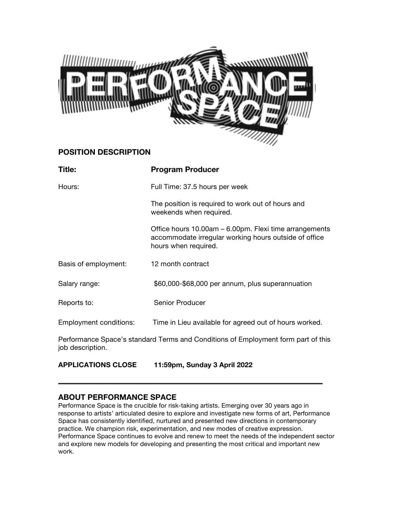

# **POSITION DESCRIPTION**

| Title:                    | <b>Program Producer</b>                                                                                                                 |
|---------------------------|-----------------------------------------------------------------------------------------------------------------------------------------|
| Hours:                    | Full Time: 37.5 hours per week                                                                                                          |
|                           | The position is required to work out of hours and<br>weekends when required.                                                            |
|                           | Office hours 10.00am – 6.00pm. Flexi time arrangements<br>accommodate irregular working hours outside of office<br>hours when required. |
| Basis of employment:      | 12 month contract                                                                                                                       |
| Salary range:             | \$60,000-\$68,000 per annum, plus superannuation                                                                                        |
| Reports to:               | <b>Senior Producer</b>                                                                                                                  |
| Employment conditions:    | Time in Lieu available for agreed out of hours worked.                                                                                  |
| job description.          | Performance Space's standard Terms and Conditions of Employment form part of this                                                       |
| <b>APPLICATIONS CLOSE</b> | 11:59pm, Sunday 3 April 2022                                                                                                            |

# **ABOUT PERFORMANCE SPACE**

Performance Space is the crucible for risk-taking artists. Emerging over 30 years ago in response to artists' articulated desire to explore and investigate new forms of art, Performance Space has consistently identified, nurtured and presented new directions in contemporary practice. We champion risk, experimentation, and new modes of creative expression. Performance Space continues to evolve and renew to meet the needs of the independent sector and explore new models for developing and presenting the most critical and important new work.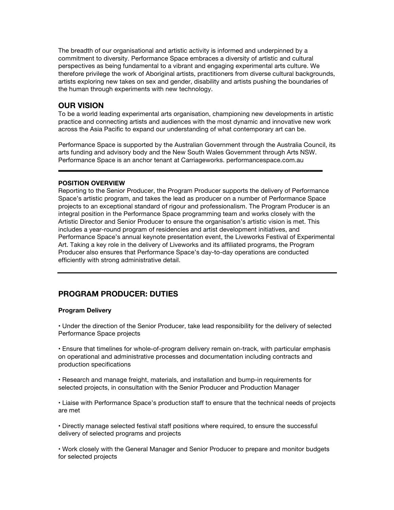The breadth of our organisational and artistic activity is informed and underpinned by a commitment to diversity. Performance Space embraces a diversity of artistic and cultural perspectives as being fundamental to a vibrant and engaging experimental arts culture. We therefore privilege the work of Aboriginal artists, practitioners from diverse cultural backgrounds, artists exploring new takes on sex and gender, disability and artists pushing the boundaries of the human through experiments with new technology.

## **OUR VISION**

To be a world leading experimental arts organisation, championing new developments in artistic practice and connecting artists and audiences with the most dynamic and innovative new work across the Asia Pacific to expand our understanding of what contemporary art can be.

Performance Space is supported by the Australian Government through the Australia Council, its arts funding and advisory body and the New South Wales Government through Arts NSW. Performance Space is an anchor tenant at Carriageworks. performancespace.com.au

## **POSITION OVERVIEW**

Reporting to the Senior Producer, the Program Producer supports the delivery of Performance Space's artistic program, and takes the lead as producer on a number of Performance Space projects to an exceptional standard of rigour and professionalism. The Program Producer is an integral position in the Performance Space programming team and works closely with the Artistic Director and Senior Producer to ensure the organisation's artistic vision is met. This includes a year-round program of residencies and artist development initiatives, and Performance Space's annual keynote presentation event, the Liveworks Festival of Experimental Art. Taking a key role in the delivery of Liveworks and its affiliated programs, the Program Producer also ensures that Performance Space's day-to-day operations are conducted efficiently with strong administrative detail.

## **PROGRAM PRODUCER: DUTIES**

#### **Program Delivery**

• Under the direction of the Senior Producer, take lead responsibility for the delivery of selected Performance Space projects

• Ensure that timelines for whole-of-program delivery remain on-track, with particular emphasis on operational and administrative processes and documentation including contracts and production specifications

• Research and manage freight, materials, and installation and bump-in requirements for selected projects, in consultation with the Senior Producer and Production Manager

• Liaise with Performance Space's production staff to ensure that the technical needs of projects are met

• Directly manage selected festival staff positions where required, to ensure the successful delivery of selected programs and projects

• Work closely with the General Manager and Senior Producer to prepare and monitor budgets for selected projects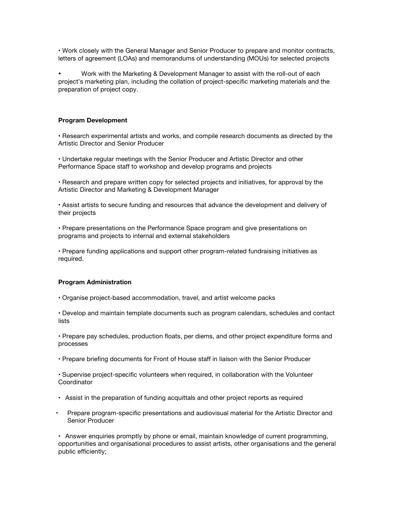• Work closely with the General Manager and Senior Producer to prepare and monitor contracts, letters of agreement (LOAs) and memorandums of understanding (MOUs) for selected projects

• Work with the Marketing & Development Manager to assist with the roll-out of each project's marketing plan, including the collation of project-specific marketing materials and the preparation of project copy.

## **Program Development**

• Research experimental artists and works, and compile research documents as directed by the Artistic Director and Senior Producer

• Undertake regular meetings with the Senior Producer and Artistic Director and other Performance Space staff to workshop and develop programs and projects

• Research and prepare written copy for selected projects and initiatives, for approval by the Artistic Director and Marketing & Development Manager

• Assist artists to secure funding and resources that advance the development and delivery of their projects

• Prepare presentations on the Performance Space program and give presentations on programs and projects to internal and external stakeholders

• Prepare funding applications and support other program-related fundraising initiatives as required.

#### **Program Administration**

• Organise project-based accommodation, travel, and artist welcome packs

• Develop and maintain template documents such as program calendars, schedules and contact lists

• Prepare pay schedules, production floats, per diems, and other project expenditure forms and processes

• Prepare briefing documents for Front of House staff in liaison with the Senior Producer

• Supervise project-specific volunteers when required, in collaboration with the Volunteer **Coordinator** 

- Assist in the preparation of funding acquittals and other project reports as required
- Prepare program-specific presentations and audiovisual material for the Artistic Director and Senior Producer

• Answer enquiries promptly by phone or email, maintain knowledge of current programming, opportunities and organisational procedures to assist artists, other organisations and the general public efficiently;